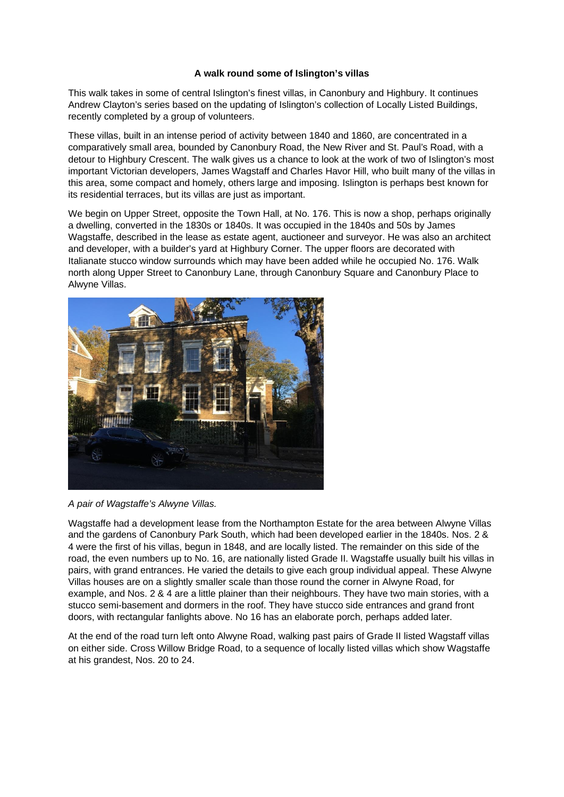## **A walk round some of Islington's villas**

This walk takes in some of central Islington's finest villas, in Canonbury and Highbury. It continues Andrew Clayton's series based on the updating of Islington's collection of Locally Listed Buildings, recently completed by a group of volunteers.

These villas, built in an intense period of activity between 1840 and 1860, are concentrated in a comparatively small area, bounded by Canonbury Road, the New River and St. Paul's Road, with a detour to Highbury Crescent. The walk gives us a chance to look at the work of two of Islington's most important Victorian developers, James Wagstaff and Charles Havor Hill, who built many of the villas in this area, some compact and homely, others large and imposing. Islington is perhaps best known for its residential terraces, but its villas are just as important.

We begin on Upper Street, opposite the Town Hall, at No. 176. This is now a shop, perhaps originally a dwelling, converted in the 1830s or 1840s. It was occupied in the 1840s and 50s by James Wagstaffe, described in the lease as estate agent, auctioneer and surveyor. He was also an architect and developer, with a builder's yard at Highbury Corner. The upper floors are decorated with Italianate stucco window surrounds which may have been added while he occupied No. 176. Walk north along Upper Street to Canonbury Lane, through Canonbury Square and Canonbury Place to Alwyne Villas.



*A pair of Wagstaffe's Alwyne Villas.*

Wagstaffe had a development lease from the Northampton Estate for the area between Alwyne Villas and the gardens of Canonbury Park South, which had been developed earlier in the 1840s. Nos. 2 & 4 were the first of his villas, begun in 1848, and are locally listed. The remainder on this side of the road, the even numbers up to No. 16, are nationally listed Grade II. Wagstaffe usually built his villas in pairs, with grand entrances. He varied the details to give each group individual appeal. These Alwyne Villas houses are on a slightly smaller scale than those round the corner in Alwyne Road, for example, and Nos. 2 & 4 are a little plainer than their neighbours. They have two main stories, with a stucco semi-basement and dormers in the roof. They have stucco side entrances and grand front doors, with rectangular fanlights above. No 16 has an elaborate porch, perhaps added later.

At the end of the road turn left onto Alwyne Road, walking past pairs of Grade II listed Wagstaff villas on either side. Cross Willow Bridge Road, to a sequence of locally listed villas which show Wagstaffe at his grandest, Nos. 20 to 24.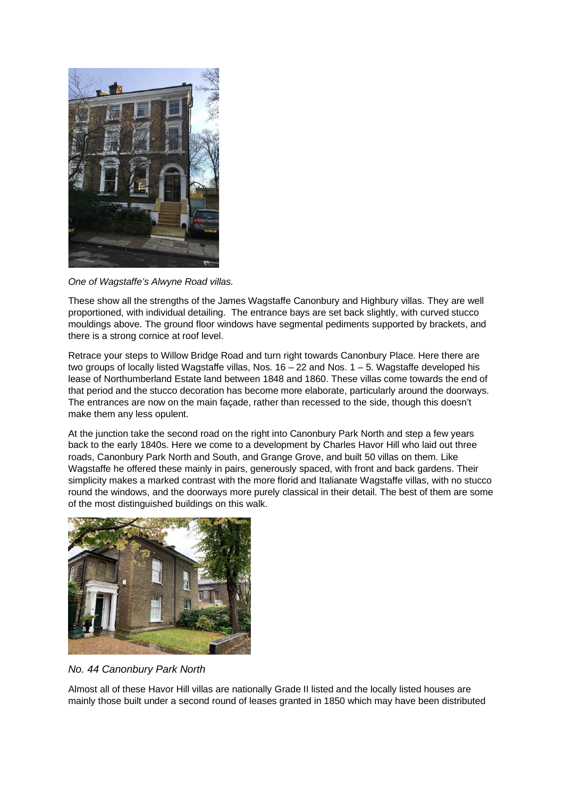

*One of Wagstaffe's Alwyne Road villas.*

These show all the strengths of the James Wagstaffe Canonbury and Highbury villas. They are well proportioned, with individual detailing. The entrance bays are set back slightly, with curved stucco mouldings above. The ground floor windows have segmental pediments supported by brackets, and there is a strong cornice at roof level.

Retrace your steps to Willow Bridge Road and turn right towards Canonbury Place. Here there are two groups of locally listed Wagstaffe villas, Nos.  $16 - 22$  and Nos.  $1 - 5$ . Wagstaffe developed his lease of Northumberland Estate land between 1848 and 1860. These villas come towards the end of that period and the stucco decoration has become more elaborate, particularly around the doorways. The entrances are now on the main façade, rather than recessed to the side, though this doesn't make them any less opulent.

At the junction take the second road on the right into Canonbury Park North and step a few years back to the early 1840s. Here we come to a development by Charles Havor Hill who laid out three roads, Canonbury Park North and South, and Grange Grove, and built 50 villas on them. Like Wagstaffe he offered these mainly in pairs, generously spaced, with front and back gardens. Their simplicity makes a marked contrast with the more florid and Italianate Wagstaffe villas, with no stucco round the windows, and the doorways more purely classical in their detail. The best of them are some of the most distinguished buildings on this walk.



*No. 44 Canonbury Park North*

Almost all of these Havor Hill villas are nationally Grade II listed and the locally listed houses are mainly those built under a second round of leases granted in 1850 which may have been distributed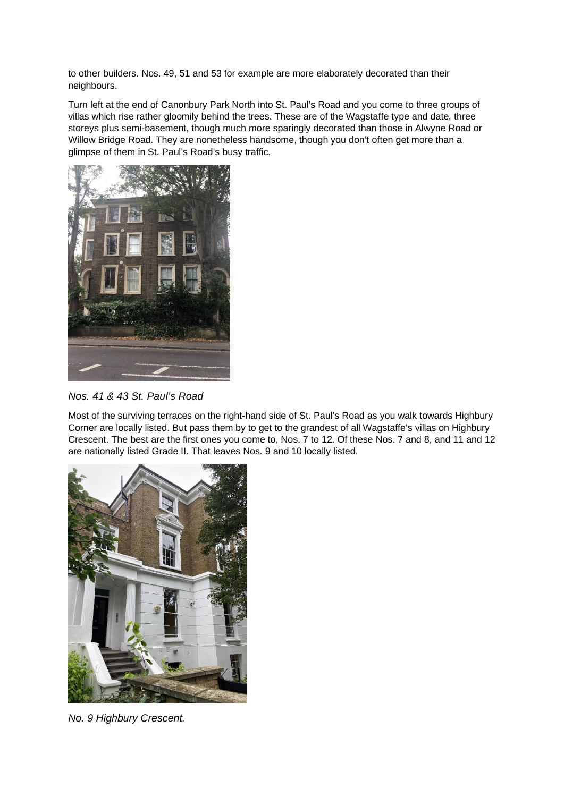to other builders. Nos. 49, 51 and 53 for example are more elaborately decorated than their neighbours.

Turn left at the end of Canonbury Park North into St. Paul's Road and you come to three groups of villas which rise rather gloomily behind the trees. These are of the Wagstaffe type and date, three storeys plus semi-basement, though much more sparingly decorated than those in Alwyne Road or Willow Bridge Road. They are nonetheless handsome, though you don't often get more than a glimpse of them in St. Paul's Road's busy traffic.



*Nos. 41 & 43 St. Paul's Road*

Most of the surviving terraces on the right-hand side of St. Paul's Road as you walk towards Highbury Corner are locally listed. But pass them by to get to the grandest of all Wagstaffe's villas on Highbury Crescent. The best are the first ones you come to, Nos. 7 to 12. Of these Nos. 7 and 8, and 11 and 12 are nationally listed Grade II. That leaves Nos. 9 and 10 locally listed.



*No. 9 Highbury Crescent.*